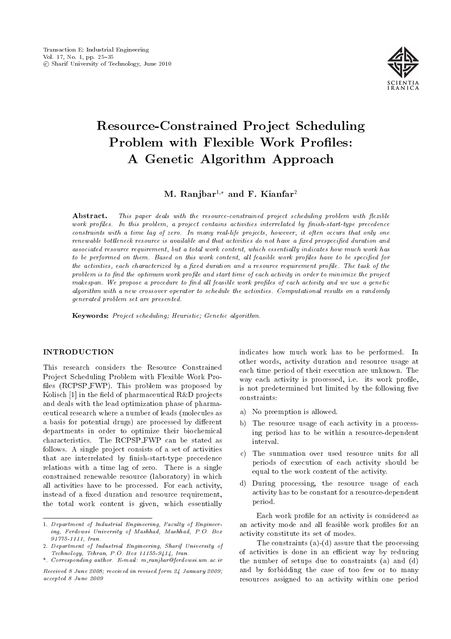

# Resource-Constrained Project Scheduling Problem with Flexible Work Profiles: A Genetic Algorithm Approach

M. Ranjbar<sup>1,\*</sup> and F. Kianfar<sup>2</sup>

Abstract. This paper deals with the resource-constrained project scheduling problem with flexible work profiles. In this problem, a project contains activities interrelated by finish-start-type precedence constraints with a time lag of zero. In many real-life projects, however, it often occurs that only one renewable bottleneck resource is available and that activities do not have a fixed prespecified duration and associated resource requirement, but a total work content, which essentially indicates how much work has to be performed on them. Based on this work content, all feasible work profiles have to be specified for the activities, each characterized by a fixed duration and a resource requirement profile. The task of the problem is to find the optimum work profile and start time of each activity in order to minimize the project makespan. We propose a procedure to find all feasible work profiles of each activity and we use a genetic algorithm with a new crossover operator to schedule the activities. Computational results on a randomly generated problem set are presented.

Keywords: Project scheduling; Heuristic; Genetic algorithm.

# **INTRODUCTION**

This research considers the Resource Constrained Project Scheduling Problem with Flexible Work Pro files (RCPSP\_FWP). This problem was proposed by Kolisch  $[1]$  in the field of pharmaceutical R&D projects and deals with the lead optimization phase of pharmaceutical research where a number of leads (molecules as a basis for potential drugs) are processed by different departments in order to optimize their biochemical characteristics. The RCPSP FWP can be stated as follows. A single project consists of a set of activities that are interrelated by finish-start-type precedence relations with a time lag of zero. There is a single constrained renewable resource (laboratory) in which all activities have to be processed. For each activity, instead of a fixed duration and resource requirement, the total work content is given, which essentially indicates how much work has to be performed. In other words, activity duration and resource usage at each time period of their execution are unknown. The way each activity is processed, i.e. its work profile, is not predetermined but limited by the following five constraints:

- a) No preemption is allowed.
- b) The resource usage of each activity in a processing period has to be within a resource-dependent interval.
- c) The summation over used resource units for all periods of execution of each activity should be equal to the work content of the activity.
- d) During processing, the resource usage of each activity has to be constant for a resource-dependent period.

Each work profile for an activity is considered as an activity mode and all feasible work profiles for an activity constitute its set of modes.

The constraints  $(a)-(d)$  assure that the processing of activities is done in an efficient way by reducing the number of setups due to constraints (a) and (d) and by forbidding the case of too few or to many resources assigned to an activity within one period

<sup>1.</sup> Department of Industrial Engineering, Faculty of Engineering, Ferdowsi University of Mashhad, Mashhad, P.O. Box 91775-1111, Iran.

<sup>2.</sup> Department of Industrial Engineering, Sharif University of Technology, Tehran, P.O. Box 11155-9414, Iran.

<sup>\*.</sup> Corresponding author. E-mail: m ranjbar@ferdowsi.um.ac.ir

Received 8 June 2008; received in revised form 24 January 2009; accepted 8 June 2009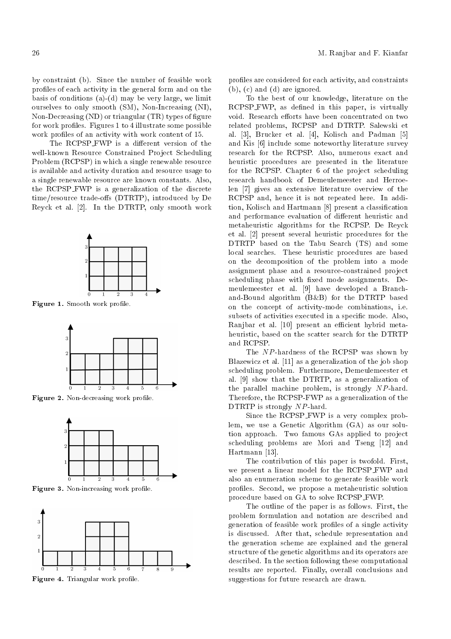by constraint (b). Since the number of feasible work profiles of each activity in the general form and on the basis of conditions  $(a)-(d)$  may be very large, we limit ourselves to only smooth (SM), Non-Increasing (NI), Non-Decreasing  $(ND)$  or triangular  $(TR)$  types of figure for work profiles. Figures 1 to 4 illustrate some possible work profiles of an activity with work content of 15.

The RCPSP\_FWP is a different version of the well-known Resource Constrained Project Scheduling Problem (RCPSP) in which a single renewable resource is available and activity duration and resource usage to a single renewable resource are known constants. Also, the RCPSP FWP is a generalization of the discrete time/resource trade-offs (DTRTP), introduced by De Reyck et al. [2]. In the DTRTP, only smooth work



Figure 1. Smooth work profile.



Figure 2. Non-decreasing work profile.



Figure 3. Non-increasing work profile.



Figure 4. Triangular work profile.

profiles are considered for each activity, and constraints (b), (c) and (d) are ignored.

To the best of our knowledge, literature on the RCPSP\_FWP, as defined in this paper, is virtually void. Research efforts have been concentrated on two related problems, RCPSP and DTRTP. Salewski et al. [3], Brucker et al. [4], Kolisch and Padman [5] and Kis [6] include some noteworthy literature survey research for the RCPSP. Also, numerous exact and heuristic procedures are presented in the literature for the RCPSP. Chapter 6 of the project scheduling research handbook of Demeulemeester and Herroelen [7] gives an extensive literature overview of the RCPSP and, hence it is not repeated here. In addition, Kolisch and Hartmann [8] present a classication and performance evaluation of different heuristic and metaheuristic algorithms for the RCPSP. De Reyck et al. [2] present several heuristic procedures for the DTRTP based on the Tabu Search (TS) and some local searches. These heuristic procedures are based on the decomposition of the problem into a mode assignment phase and a resource-constrained project scheduling phase with fixed mode assignments. Demeulemeester et al. [9] have developed a Branchand-Bound algorithm (B&B) for the DTRTP based on the concept of activity-mode combinations, i.e. subsets of activities executed in a specific mode. Also, Ranjbar et al. [10] present an efficient hybrid metaheuristic, based on the scatter search for the DTRTP and RCPSP.

The NP-hardness of the RCPSP was shown by Blazewicz et al. [11] as a generalization of the job shop scheduling problem. Furthermore, Demeulemeester et al. [9] show that the DTRTP, as a generalization of the parallel machine problem, is strongly NP-hard. Therefore, the RCPSP-FWP as a generalization of the DTRTP is strongly NP-hard.

Since the RCPSP FWP is a very complex problem, we use a Genetic Algorithm (GA) as our solution approach. Two famous GAs applied to project scheduling problems are Mori and Tseng [12] and Hartmann [13].

The contribution of this paper is twofold. First, we present a linear model for the RCPSP\_FWP and also an enumeration scheme to generate feasible work profiles. Second, we propose a metaheuristic solution procedure based on GA to solve RCPSP FWP.

The outline of the paper is as follows. First, the problem formulation and notation are described and generation of feasible work profiles of a single activity is discussed. After that, schedule representation and the generation scheme are explained and the general structure of the genetic algorithms and its operators are described. In the section following these computational results are reported. Finally, overall conclusions and suggestions for future research are drawn.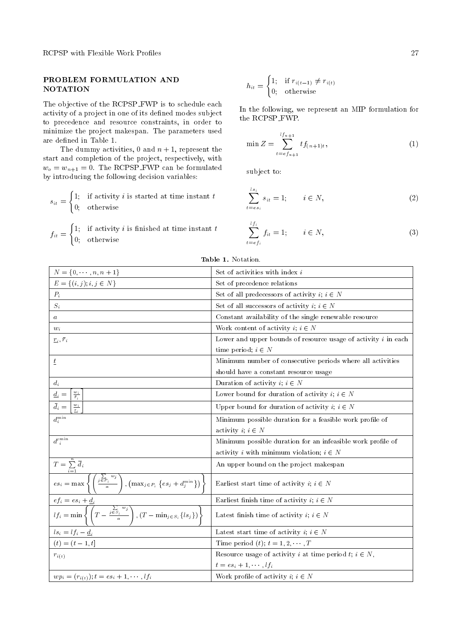RCPSP with Flexible Work Profiles 27

# PROBLEM FORMULATION AND NOTATION

The objective of the RCPSP\_FWP is to schedule each activity of a project in one of its defined modes subject to precedence and resource constraints, in order to minimize the project makespan. The parameters used are defined in Table 1.

The dummy activities, 0 and  $n + 1$ , represent the start and completion of the project, respectively, with  $w_o = w_{n+1} = 0$ . The RCPSP-FWP can be formulated by introducing the following decision variables:

$$
s_{it} = \begin{cases} 1; & \text{if activity } i \text{ is started at time instant } t \\ 0; & \text{otherwise} \end{cases}
$$

 $f_{it} =$  $\int 1$ ; if activity *i* is finished at time instant *t* 0; otherwise

$$
h_{it} = \begin{cases} 1; & \text{if } r_{i(t-1)} \neq r_{i(t)} \\ 0; & \text{otherwise} \end{cases}
$$

In the following, we represent an MIP formulation for the RCPSP FWP.

$$
\min Z = \sum_{t=e_{f_{n+1}}}^{lt_{n+1}} tf_{(n+1)t},
$$
\n(1)

subject to:

$$
\sum_{t=e s_i}^{l s_i} s_{it} = 1; \qquad i \in N,
$$
\n
$$
(2)
$$

$$
\sum_{t=e f_i}^{l f_i} f_{it} = 1; \qquad i \in N,
$$
\n(3)

| $N = \{0, \dots, n, n+1\}$                                                                                                                                                                                                                | Set of activities with index $i$                                          |  |  |
|-------------------------------------------------------------------------------------------------------------------------------------------------------------------------------------------------------------------------------------------|---------------------------------------------------------------------------|--|--|
| $E = \{(i, j); i, j \in N\}$                                                                                                                                                                                                              | Set of precedence relations                                               |  |  |
| $P_i$                                                                                                                                                                                                                                     | Set of all predecessors of activity $i; i \in N$                          |  |  |
| $S_i$                                                                                                                                                                                                                                     | Set of all successors of activity $i, i \in N$                            |  |  |
| $\boldsymbol{a}$                                                                                                                                                                                                                          | Constant availability of the single renewable resource                    |  |  |
| $w_i$                                                                                                                                                                                                                                     | Work content of activity $i; i \in N$                                     |  |  |
| $\underline{r}_i, \, \bar{r}_i$                                                                                                                                                                                                           | Lower and upper bounds of resource usage of activity $i$ in each          |  |  |
|                                                                                                                                                                                                                                           | time period; $i \in N$                                                    |  |  |
| $\overline{t}$                                                                                                                                                                                                                            | Minimum number of consecutive periods where all activities                |  |  |
|                                                                                                                                                                                                                                           | should have a constant resource usage                                     |  |  |
| $d_i$                                                                                                                                                                                                                                     | Duration of activity $i; i \in N$                                         |  |  |
| $\frac{w_i}{\bar{r}_i}$<br>$\underline{d}_i =$                                                                                                                                                                                            | Lower bound for duration of activity $i; i \in N$                         |  |  |
| $\underline{w}_i$                                                                                                                                                                                                                         | Upper bound for duration of activity $i; i \in N$                         |  |  |
| $d_i^{\min}$                                                                                                                                                                                                                              | Minimum possible duration for a feasible work profile of                  |  |  |
|                                                                                                                                                                                                                                           | activity $i; i \in N$                                                     |  |  |
| $d^{\prime \min}_{\ i}$                                                                                                                                                                                                                   | Minimum possible duration for an infeasible work profile of               |  |  |
|                                                                                                                                                                                                                                           | activity <i>i</i> with minimum violation; $i \in N$                       |  |  |
|                                                                                                                                                                                                                                           | An upper bound on the project makespan                                    |  |  |
| $\begin{split} \overline{T &= \sum\limits_{i=1}^n \overline{d}_i} \\ e s_i &= \max \left\{ \left( \frac{\sum\limits_{j \in P_i} w_j}{a} \right), \left( \max_{j \in P_i} \left\{ e s_j + d^{\min}_j \right\} \right) \right. \end{split}$ | Earliest start time of activity $i, i \in N$                              |  |  |
|                                                                                                                                                                                                                                           | Earliest finish time of activity $i; i \in N$                             |  |  |
| $\overline{ef_i = es_i + \underline{d_i}}$<br>$\overline{lf_i = \min \left\{ \left( T - \frac{\sum\limits_{j \in S_i} w_j}{a} \right), \left( T - \min_{j \in S_i} \{ls_j\} \right) \right\}}$                                            | Latest finish time of activity $i; i \in N$                               |  |  |
|                                                                                                                                                                                                                                           | Latest start time of activity $i; i \in N$                                |  |  |
| $ls_i = lf_i - d_i$<br>(t) = (t - 1, t]                                                                                                                                                                                                   | Time period (t); $t = 1, 2, \dots, T$                                     |  |  |
| $r_{i(t)}$                                                                                                                                                                                                                                | Resource usage of activity <i>i</i> at time period <i>t</i> ; $i \in N$ , |  |  |
|                                                                                                                                                                                                                                           | $t = es_i + 1, \cdots, lf_i$                                              |  |  |
| $wp_i = (r_{i(t)})$ ; $t = es_i + 1, \cdots, l f_i$                                                                                                                                                                                       | Work profile of activity $i; i \in N$                                     |  |  |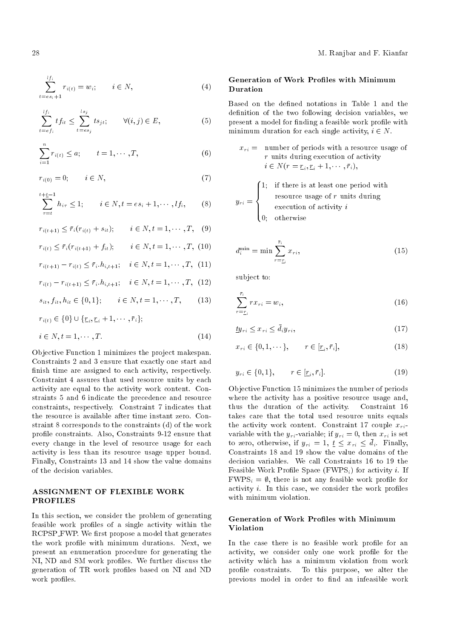$$
\sum_{t=e s_i+1}^{l f_i} r_{i(t)} = w_i; \qquad i \in N,
$$
\n(4)

$$
\sum_{t=e}^{lf_i} tf_{it} \le \sum_{t=e}^{ls_j} ts_{jt}; \qquad \forall (i,j) \in E,
$$
\n
$$
(5)
$$

$$
\sum_{i=1}^{n} r_{i(t)} \le a; \qquad t = 1, \cdots, T,
$$
 (6)

$$
r_{i(0)} = 0; \qquad i \in N,\tag{7}
$$

$$
\sum_{\tau=t}^{t+\underline{t}-1} h_{i\tau} \le 1; \qquad i \in N, t = es_i + 1, \cdots, lf_i,
$$
 (8)

$$
r_{i(t+1)} \leq \bar{r}_i (r_{i(t)} + s_{it}); \qquad i \in N, t = 1, \cdots, T, \quad (9)
$$

- $r_{i(t)} \leq \bar{r}_i (r_{i(t+1)} + f_{it}); \qquad i \in N, t = 1, \cdots, T, (10)$
- $r_{i(t+1)} r_{i(t)} \leq \bar{r}_i \cdot h_{i,t+1}; \quad i \in N, t = 1, \cdots, T, (11)$
- $r_{i(t)} r_{i(t+1)} \leq \bar{r}_i \cdot h_{i,t+1}; \quad i \in N, t = 1, \cdots, T, (12)$

$$
s_{it}, f_{it}, h_{it} \in \{0, 1\}; \qquad i \in N, t = 1, \cdots, T,
$$
 (13)

$$
r_{i(t)} \in \{0\} \cup \{ \underline{r}_i, \underline{r}_i + 1, \cdots, \overline{r}_i \};
$$

$$
i \in N, t = 1, \cdots, T.
$$
\n<sup>(14)</sup>

Objective Function 1 minimizes the project makespan. Constraints 2 and 3 ensure that exactly one start and finish time are assigned to each activity, respectively. Constraint 4 assures that used resource units by each activity are equal to the activity work content. Constraints 5 and 6 indicate the precedence and resource constraints, respectively. Constraint 7 indicates that the resource is available after time instant zero. Constraint 8 corresponds to the constraints (d) of the work profile constraints. Also, Constraints 9-12 ensure that every change in the level of resource usage for each activity is less than its resource usage upper bound. Finally, Constraints 13 and 14 show the value domains of the decision variables.

# ASSIGNMENT OF FLEXIBLE WORK PROFILES

In this section, we consider the problem of generating feasible work profiles of a single activity within the RCPSP\_FWP. We first propose a model that generates the work profile with minimum durations. Next, we present an enumeration procedure for generating the NI, ND and SM work profiles. We further discuss the generation of TR work profiles based on NI and ND work profiles.

# Generation of Work Profiles with Minimum Duration

Based on the defined notations in Table 1 and the definition of the two following decision variables, we present a model for finding a feasible work profile with minimum duration for each single activity,  $i \in N$ .

$$
x_{ri} =
$$
 number of periods with a resource usage of  
 
$$
r
$$
 units during execution of activity  
 
$$
i \in N(r = \underline{r}_i, \underline{r}_i + 1, \dots, \overline{r}_i),
$$

$$
y_{ri} = \begin{cases} 1; & \text{if there is at least one period with} \\ & \text{resource usage of } r \text{ units during} \\ & \text{execution of activity } i \\ 0; & \text{otherwise} \end{cases}
$$

$$
d_i^{\min} = \min \sum_{r=\underline{r}_i}^{\bar{r}_i} x_{ri},\tag{15}
$$

subject to:

$$
\sum_{r=\underline{r}_i}^{\bar{r}_i} rx_{ri} = w_i,\tag{16}
$$

$$
\underline{ty}_{ri} \le x_{ri} \le \bar{d}_i y_{ri},\tag{17}
$$

$$
x_{ri} \in \{0, 1, \cdots\}, \qquad r \in [\underline{r}_i, \overline{r}_i], \tag{18}
$$

$$
y_{ri} \in \{0, 1\}, \qquad r \in [\underline{r}_i, \bar{r}_i]. \tag{19}
$$

Objective Function 15 minimizes the number of periods where the activity has a positive resource usage and, thus the duration of the activity. Constraint 16 takes care that the total used resource units equals the activity work content. Constraint 17 couple  $x_{ri}$ variable with the  $y_{ri}$ -variable; if  $y_{ri} = 0$ , then  $x_{ri}$  is set to zero, otherwise, if  $y_{ri} = 1, t \leq x_{ri} \leq \bar{d}_i$ . Finally, Constraints 18 and 19 show the value domains of the decision variables. We call Constraints 16 to 19 the Feasible Work Profile Space (FWPS<sub>i</sub>) for activity *i*. If  $FWPS_i = \emptyset$ , there is not any feasible work profile for activity  $i$ . In this case, we consider the work profiles with minimum violation.

# Generation of Work Profiles with Minimum Violation

In the case there is no feasible work profile for an activity, we consider only one work profile for the activity which has a minimum violation from work profile constraints. To this purpose, we alter the previous model in order to find an infeasible work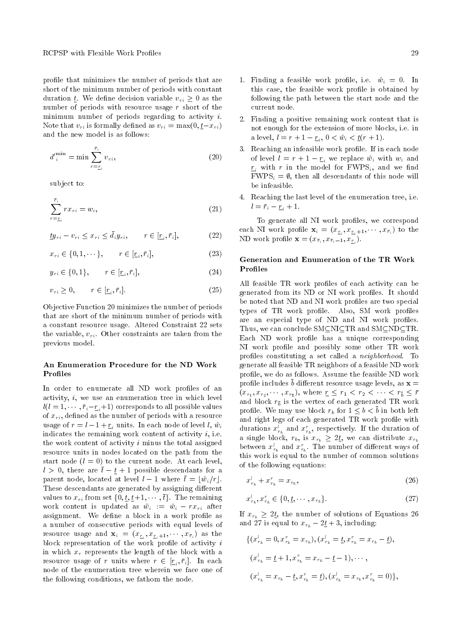profile that minimizes the number of periods that are short of the minimum number of periods with constant duration  $\underline{t}$ . We define decision variable  $v_{ri} \geq 0$  as the number of periods with resource usage r short of the minimum number of periods regarding to activity  $i$ . Note that  $v_{ri}$  is formally defined as  $v_{ri} = \max(0, t-x_{ri})$ and the new model is as follows:

$$
d'_{i}^{\min} = \min \sum_{r=\underline{r}_{i}}^{\bar{r}_{i}} v_{ri}, \qquad (20)
$$

subject to:

$$
\sum_{r=\underline{r}_i}^{\bar{r}_i} rx_{ri} = w_i,\tag{21}
$$

$$
\underline{ty}_{ri} - v_{ri} \le x_{ri} \le \bar{d}_i y_{ri}, \qquad r \in [\underline{r}_i, \bar{r}_i], \tag{22}
$$

$$
x_{ri} \in \{0, 1, \cdots\}, \qquad r \in [r_i, \bar{r}_i], \tag{23}
$$

$$
y_{ri} \in \{0, 1\}, \qquad r \in [\underline{r}_i, \bar{r}_i], \tag{24}
$$

$$
v_{ri} \ge 0, \qquad r \in [\underline{r}_i, \overline{r}_i]. \tag{25}
$$

Objective Function 20 minimizes the number of periods that are short of the minimum number of periods with a constant resource usage. Altered Constraint 22 sets the variable,  $v_{ri}$ . Other constraints are taken from the previous model.

# An Enumeration Procedure for the ND Work **Profiles**

In order to enumerate all ND work profiles of an activity,  $i$ , we use an enumeration tree in which level  $l(l = 1, \dots, \bar{r}_i-\underline{r}_i+1)$  corresponds to all possible values of  $x_{ri}$ , defined as the number of periods with a resource usage of  $r = l - 1 + r_i$  units. In each node of level l,  $\hat{w}_i$ indicates the remaining work content of activity  $i$ , i.e. the work content of activity  $i$  minus the total assigned resource units in nodes located on the path from the start node  $(l = 0)$  to the current node. At each level,  $l > 0$ , there are  $\bar{t} - t + 1$  possible descendants for a parent node, located at level  $l - 1$  where  $\bar{t} = |\hat{w}_i/r|$ . These descendants are generated by assigning different values to  $x_{ri}$  from set  $\{0, \underline{t}, \underline{t}+1, \cdots, \overline{t}\}$ . The remaining work content is updated as  $\hat{w}_i := \hat{w}_i - rx_{ri}$  after assignment. We define a block in a work profile as a number of consecutive periods with equal levels of resource usage and  $\mathbf{x}_i = (x_{\underline{r}_i}, x_{\underline{r}_i+1}, \cdots, x_{\bar{r}_i})$  as the block representation of the work profile of activity  $i$ in which  $x_r$  represents the length of the block with a resource usage of r units where  $r \in [\underline{r}_i, \bar{r}_i]$ . In each node of the enumeration tree wherein we face one of the following conditions, we fathom the node.

- 1. Finding a feasible work profile, i.e.  $\hat{w}_i = 0$ . In this case, the feasible work profile is obtained by following the path between the start node and the current node.
- 2. Finding a positive remaining work content that is not enough for the extension of more blocks, i.e. in a level,  $l = r + 1 - \underline{r}_i, \, 0 < \hat{w}_i < \underline{t}(r + 1).$
- 3. Reaching an infeasible work profile. If in each node of level  $l = r + 1 - \underline{r}_i$  we replace  $\hat{w}_i$  with  $w_i$  and  $\underline{r}_i$  with r in the model for  $\mathrm{FWPS}_i$ , and we find  $FWPS_i = \emptyset$ , then all descendants of this node will be infeasible.
- 4. Reaching the last level of the enumeration tree, i.e.  $l = \bar{r}_i - \underline{r}_i + 1.$

To generate all NI work profiles, we correspond each NI work profile  $\mathbf{x}_i = (x_{\underline{r}_i}, x_{\underline{r}_i+1}, \cdots, x_{\overline{r}_i})$  to the ND work profile  $\mathbf{x} = (x_{\bar{r}_i}, x_{\bar{r}_i-1}, x_{\underline{r}_i}).$ 

# Generation and Enumeration of the TR Work **Profiles**

All feasible TR work profiles of each activity can be generated from its ND or NI work profiles. It should be noted that ND and NI work profiles are two special types of TR work profile. Also, SM work profiles are an especial type of ND and NI work profiles. Thus, we can conclude  $SM\subseteq NIGTR$  and  $SM\subseteq ND\subseteq TR$ . Each ND work profile has a unique corresponding NI work profile and possibly some other TR work proles constituting a set called a neighborhood. To generate all feasible TR neighbors of a feasible ND work profile, we do as follows. Assume the feasible ND work profile includes  $\bar{b}$  different resource usage levels, as  $\mathbf{x} =$  $(x_{r_1}, x_{r_2}, \dots, x_{r_{\bar{b}}}),$  where  $\underline{r} \leq r_1 < r_2 < \dots < r_{\bar{b}} \leq \bar{r}$ and block  $r_{\bar{b}}$  is the vertex of each generated TR work profile. We may use block  $r_b$  for  $1 \leq b \leq \overline{b}$  in both left and right legs of each generated TR work profile with durations  $x_{r_b}^l$  and  $x_{r_b}^r$ , respectively. If the duration of a single block,  $r_b$ , is  $x_{r_b} \geq 2t$ , we can distribute  $x_{r_b}$ between  $x_{r_b}^l$  and  $x_{r_b}^r$ . The number of different ways of this work is equal to the number of common solutions of the following equations:

$$
x_{r_b}^l + x_{r_b}^r = x_{r_b},\tag{26}
$$

$$
x_{r_b}^l, x_{r_b}^r \in \{0, \underline{t}, \cdots, x_{r_b}\}.
$$
\n<sup>(27)</sup>

If  $x_{r_b} \geq 2t$ , the number of solutions of Equations 26 and 27 is equal to  $x_{r_b} - 2\underline{t} + 3$ , including:

$$
\{(x_{r_b}^l = 0, x_{r_b}^r = x_{r_b}), (x_{r_b}^l = \underline{t}, x_{r_b}^r = x_{r_b} - \underline{t}),
$$
  

$$
(x_{r_b}^l = \underline{t} + 1, x_{r_b}^r = x_{r_b} - \underline{t} - 1), \cdots,
$$
  

$$
(x_{r_b}^l = x_{r_b} - \underline{t}, x_{r_b}^r = \underline{t}), (x_{r_b}^l = x_{r_b}, x_{r_b}^r = 0)\},
$$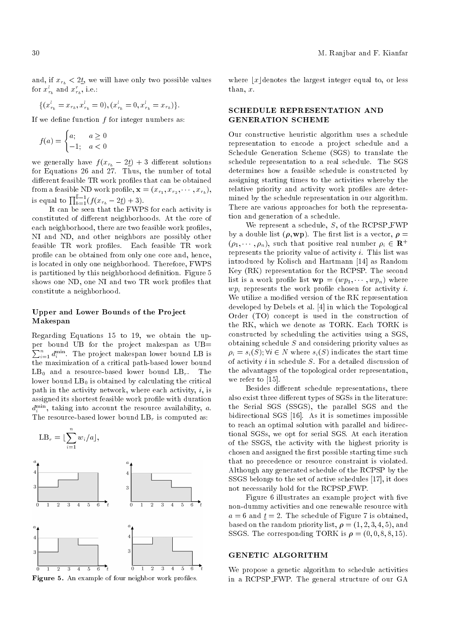and, if  $x_{r_b} < 2t$ , we will have only two possible values for  $x_{r_b}^l$  and  $x_{r_b}^r$ , i.e.:

$$
\{(x_{r_b}^l = x_{r_b}, x_{r_b}^l = 0), (x_{r_b}^l = 0, x_{r_b}^l = x_{r_b})\}.
$$

If we define function  $f$  for integer numbers as:

$$
f(a) = \begin{cases} a; & a \ge 0 \\ -1; & a < 0 \end{cases}
$$

we generally have  $f(x_{r_b} - 2t) + 3$  different solutions for Equations 26 and 27. Thus, the number of total different feasible TR work profiles that can be obtained from a feasible ND work profile,  $\mathbf{x} = (x_{r_1}, x_{r_2}, \cdots, x_{r_b}),$ is equal to  $\prod_{b=1}^{\bar{b}-1}(f(x_{r_b} - 2\underline{t}) + 3).$ 

It can be seen that the FWPS for each activity is constituted of different neighborhoods. At the core of each neighborhood, there are two feasible work profiles, NI and ND, and other neighbors are possibly other feasible TR work profiles. Each feasible TR work profile can be obtained from only one core and, hence, is located in only one neighborhood. Therefore, FWPS is partitioned by this neighborhood definition. Figure 5 shows one ND, one NI and two TR work profiles that constitute a neighborhood.

## Upper and Lower Bounds of the Project Makespan

Regarding Equations 15 to 19, we obtain the upper bound UB for the project makespan as UB=  $\sum_{i=1}^{n} d_i^{\min}$ . The project makespan lower bound LB is the maximization of a critical path-based lower bound  $LB<sub>0</sub>$  and a resource-based lower bound  $LB<sub>r</sub>$ . The lower bound  $LB<sub>0</sub>$  is obtained by calculating the critical path in the activity network, where each activity,  $i$ , is assigned its shortest feasible work profile with duration  $d_i^{\min}$ , taking into account the resource availability, a. The resource-based lower bound  $LB<sub>r</sub>$  is computed as:



Figure 5. An example of four neighbor work profiles.

where  $|x|$  denotes the largest integer equal to, or less than, x.

# SCHEDULE REPRESENTATION AND GENERATION SCHEME

Our constructive heuristic algorithm uses a schedule representation to encode a project schedule and a Schedule Generation Scheme (SGS) to translate the schedule representation to a real schedule. The SGS determines how a feasible schedule is constructed by assigning starting times to the activities whereby the relative priority and activity work profiles are determined by the schedule representation in our algorithm. There are various approaches for both the representation and generation of a schedule.

We represent a schedule,  $S$ , of the RCPSP\_FWP by a double list  $(\rho, wp)$ . The first list is a vector,  $\rho =$  $(\rho_1, \dots, \rho_n)$ , such that positive real number  $\rho_i \in \mathbb{R}^+$ represents the priority value of activity  $i$ . This list was introduced by Kolisch and Hartmann [14] as Random Key (RK) representation for the RCPSP. The second list is a work profile list  $wp = (wp_1, \dots, wp_n)$  where  $wp_i$  represents the work profile chosen for activity *i*. We utilize a modified version of the RK representation developed by Debels et al. [4] in which the Topological Order (TO) concept is used in the construction of the RK, which we denote as TORK. Each TORK is constructed by scheduling the activities using a SGS, obtaining schedule  $S$  and considering priority values as  $\rho_i = s_i(S); \forall i \in \mathbb{N}$  where  $s_i(S)$  indicates the start time of activity  $i$  in schedule  $S$ . For a detailed discussion of the advantages of the topological order representation, we refer to [15].

Besides different schedule representations, there also exist three different types of SGSs in the literature: the Serial SGS (SSGS), the parallel SGS and the bidirectional SGS [16]. As it is sometimes impossible to reach an optimal solution with parallel and bidirectional SGSs, we opt for serial SGS. At each iteration of the SSGS, the activity with the highest priority is chosen and assigned the first possible starting time such that no precedence or resource constraint is violated. Although any generated schedule of the RCPSP by the SSGS belongs to the set of active schedules [17], it does not necessarily hold for the RCPSP FWP.

Figure 6 illustrates an example project with five non-dummy activities and one renewable resource with  $a = 6$  and  $t = 2$ . The schedule of Figure 7 is obtained, based on the random priority list,  $\rho = (1, 2, 3, 4, 5)$ , and SSGS. The corresponding TORK is  $\rho = (0, 0, 8, 8, 15)$ .

## GENETIC ALGORITHM

We propose a genetic algorithm to schedule activities in a RCPSP FWP. The general structure of our GA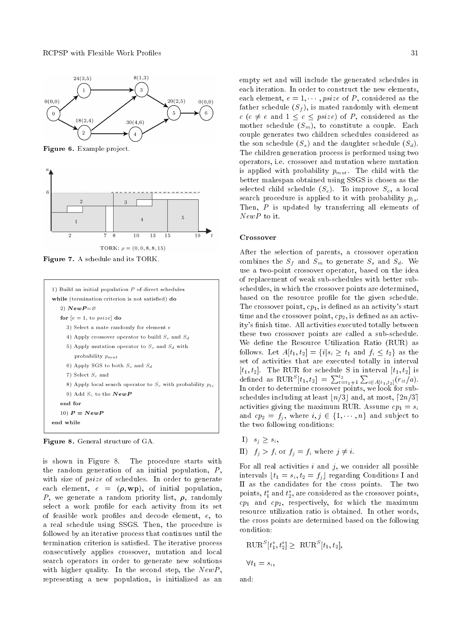



Figure 7. A schedule and its TORK.

| 1) Build an initial population $P$ of direct schedules            |
|-------------------------------------------------------------------|
| while (termination criterion is not satisfied) do                 |
| $2)$ $\bm{NewP}{=}\varnothing$                                    |
| for $[e = 1, to \text{ }psize]$ do                                |
| 3) Select a mate randomly for element e                           |
| 4) Apply crossover operator to build $S_s$ and $S_d$              |
| 5) Apply mutation operator to $S_s$ and $S_d$ with                |
| probability $p_{mut}$                                             |
| 6) Apply SGS to both $S_s$ and $S_d$                              |
| 7) Select $S_c$ and                                               |
| 8) Apply local search operator to $S_c$ with probability $p_{ls}$ |
| 9) Add $S_c$ to the $\bm{NewP}$                                   |
| end for                                                           |
| 10) $P = NewP$                                                    |
| end while                                                         |
|                                                                   |

Figure 8. General structure of GA.

is shown in Figure 8. The procedure starts with the random generation of an initial population,  $P$ , with size of *psize* of schedules. In order to generate each element,  $e = (\rho, \text{wp})$ , of initial population, P, we generate a random priority list,  $\rho$ , randomly select a work profile for each activity from its set of feasible work profiles and decode element,  $e$ , to a real schedule using SSGS. Then, the procedure is followed by an iterative process that continues until the termination criterion is satisfied. The iterative process consecutively applies crossover, mutation and local search operators in order to generate new solutions with higher quality. In the second step, the  $NewP$ , representing a new population, is initialized as an empty set and will include the generated schedules in each iteration. In order to construct the new elements, each element,  $e = 1, \dots$ , psize of P, considered as the father schedule  $(S_f)$ , is mated randomly with element  $c$  ( $c \neq e$  and  $1 \leq c \leq psize$ ) of P, considered as the mother schedule  $(S_m)$ , to constitute a couple. Each couple generates two children schedules considered as the son schedule  $(S_s)$  and the daughter schedule  $(S_d)$ . The children generation process is performed using two operators, i.e. crossover and mutation where mutation is applied with probability  $p_{mut}$ . The child with the better makespan obtained using SSGS is chosen as the selected child schedule  $(S_c)$ . To improve  $S_c$ , a local search procedure is applied to it with probability  $p_{ls}$ . Then, P is updated by transferring all elements of NewP to it.

#### Crossover

After the selection of parents, a crossover operation combines the  $S_f$  and  $S_m$  to generate  $S_s$  and  $S_d$ . We use a two-point crossover operator, based on the idea of replacement of weak sub-schedules with better subschedules, in which the crossover points are determined, based on the resource profile for the given schedule. The crossover point,  $cp_1$ , is defined as an activity's start time and the crossover point,  $cp_2$ , is defined as an activity's finish time. All activities executed totally between these two crossover points are called a sub-schedule. We define the Resource Utilization Ratio (RUR) as follows. Let  $A[t_1, t_2] = \{i | s_i \ge t_1 \text{ and } f_i \le t_2\}$  as the set of activities that are executed totally in interval  $[t_1, t_2]$ . The RUR for schedule S in interval  $[t_1, t_2]$  is defined as  $\text{RUR}^S[t_1, t_2] = \sum_{t=t_1+1}^{t_2} \sum_{i \in A[t_1, t_2]} (r_{it}/a).$ In order to determine crossover points, we look for subschedules including at least  $n/3$  and, at most,  $\lceil 2n/3 \rceil$ activities giving the maximum RUR. Assume  $cp_1 = s_i$ and  $cp_2 = f_j$ , where  $i, j \in \{1, \dots, n\}$  and subject to the two following conditions:

- $I)$   $s_j \geq s_i$ ,
- II)  $f_j > f_i$  or  $f_j = f_i$  where  $j \neq i$ .

For all real activities  $i$  and  $j$ , we consider all possible intervals  $\lfloor t_1 = s_i, t_2 = f_j \rfloor$  regarding Conditions I and II as the candidates for the cross points. The two points,  $t_1^*$  and  $t_2^*$ , are considered as the crossover points,  $cp<sub>1</sub>$  and  $cp<sub>2</sub>$ , respectively, for which the maximum resource utilization ratio is obtained. In other words, the cross points are determined based on the following condition:

$$
\text{RUR}^S[t_1^*, t_2^*] \geq \text{RUR}^S[t_1, t_2],
$$
  

$$
\forall t_1 = s_i,
$$

and: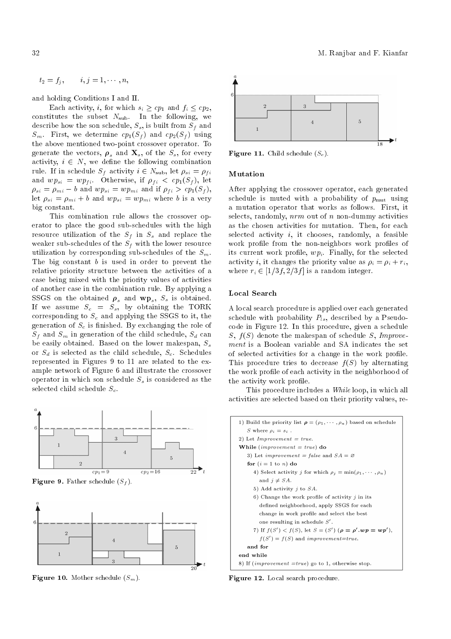$$
t_2=f_j,\qquad i,j=1,\cdots,n,
$$

and holding Conditions I and II.

Each activity, *i*, for which  $s_i \ge cp_1$  and  $f_i \le cp_2$ , constitutes the subset  $N_{\text{sub}}$ . In the following, we describe how the son schedule,  $S_s$ , is built from  $S_f$  and  $S_m$ . First, we determine  $cp_1(S_f)$  and  $cp_2(S_f)$  using the above mentioned two-point crossover operator. To generate the vectors,  $\rho_s$  and  $\mathbf{X}_s$ , of the  $S_s$ , for every activity,  $i \in N$ , we define the following combination rule. If in schedule  $S_f$  activity  $i \in N_{\text{sub}}$ , let  $\rho_{si} = \rho_{fi}$ and  $wp_{si} = wp_{fi}$ . Otherwise, if  $\rho_{fi} < cp_1(S_f)$ , let  $\rho_{si} = \rho_{mi} - b$  and  $wp_{si} = wp_{mi}$  and if  $\rho_{fi} > cp_1(S_f)$ , let  $\rho_{si} = \rho_{mi} + b$  and  $wp_{si} = wp_{mi}$  where b is a very big constant.

This combination rule allows the crossover operator to place the good sub-schedules with the high resource utilization of the  $S_f$  in  $S_s$  and replace the weaker sub-schedules of the  $S_f$  with the lower resource utilization by corresponding sub-schedules of the  $S_m$ . The big constant  $b$  is used in order to prevent the relative priority structure between the activities of a case being mixed with the priority values of activities of another case in the combination rule. By applying a SSGS on the obtained  $\rho_s$  and  $wp_s$ ,  $S_s$  is obtained. If we assume  $S_c = S_s$ , by obtaining the TORK corresponding to  $S_c$  and applying the SSGS to it, the generation of  $S_c$  is finished. By exchanging the role of  $S_f$  and  $S_m$  in generation of the child schedule,  $S_d$  can be easily obtained. Based on the lower makespan,  $S_s$ or  $S_d$  is selected as the child schedule,  $S_c$ . Schedules represented in Figures 9 to 11 are related to the example network of Figure 6 and illustrate the crossover operator in which son schedule  $S<sub>s</sub>$  is considered as the selected child schedule  $S_c$ .



**Figure 9.** Father schedule  $(S_f)$ .



**Figure 10.** Mother schedule  $(S_m)$ .



**Figure 11.** Child schedule  $(S_c)$ .

#### Mutation

After applying the crossover operator, each generated schedule is muted with a probability of  $p_{\text{mut}}$  using a mutation operator that works as follows. First, it selects, randomly,  $nrm$  out of n non-dummy activities as the chosen activities for mutation. Then, for each selected activity  $i$ , it chooses, randomly, a feasible work profile from the non-neighbors work profiles of its current work profile,  $wp_i$ . Finally, for the selected activity *i*, it changes the priority value as  $\rho_i = \rho_i + r_i$ , where  $r_i \in [1/3f, 2/3f]$  is a random integer.

#### Local Search

A local search procedure is applied over each generated schedule with probability  $P_{ls}$ , described by a Pseudocode in Figure 12. In this procedure, given a schedule S,  $f(S)$  denote the makespan of schedule S, Improvement is a Boolean variable and SA indicates the set of selected activities for a change in the work profile. This procedure tries to decrease  $f(S)$  by alternating the work profile of each activity in the neighborhood of the activity work profile.

This procedure includes a While loop, in which all activities are selected based on their priority values, re-

| 1) Build the priority list $\rho = (\rho_1, \dots, \rho_n)$ based on schedule |
|-------------------------------------------------------------------------------|
| S where $\rho_i = s_i$ .                                                      |
| 2) Let $Improvement = true$ .                                                 |
| While (improvement $= true$ ) do                                              |
| 3) Let <i>improvement</i> = false and $SA = \emptyset$                        |
| for $(i = 1$ to n) do                                                         |
| 4) Select activity j for which $\rho_j = \min(\rho_1, \dots, \rho_n)$         |
| and $j \neq SA$ .                                                             |
| 5) Add activity $j$ to $SA$ .                                                 |
| 6) Change the work profile of activity $j$ in its                             |
| defined neighborhood, apply SSGS for each                                     |
| change in work profile and select the best                                    |
| one resulting in schedule $S'$ .                                              |
| 7) If $f(S') < f(S)$ , let $S = (S') (\rho = \rho'.wp = wp'),$                |
| $f(S') = f(S)$ and <i>improvement=true</i> .                                  |
| and for                                                                       |
| end while                                                                     |
| 8) If $(improvement = true$ go to 1, otherwise stop.                          |
|                                                                               |

Figure 12. Local search procedure.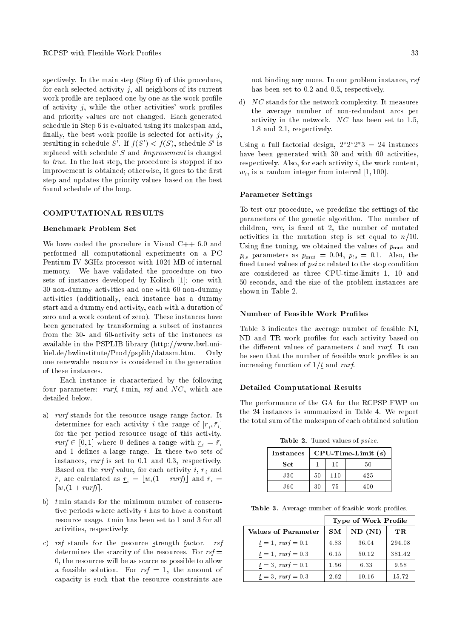spectively. In the main step (Step 6) of this procedure, for each selected activity  $j$ , all neighbors of its current work profile are replaced one by one as the work profile of activity  $j$ , while the other activities' work profiles and priority values are not changed. Each generated schedule in Step 6 is evaluated using its makespan and, finally, the best work profile is selected for activity  $j$ , resulting in schedule  $S'$ . If  $f(S') < f(S)$ , schedule  $S'$  is replaced with schedule S and Improvement is changed to true. In the last step, the procedure is stopped if no improvement is obtained; otherwise, it goes to the first step and updates the priority values based on the best found schedule of the loop.

# COMPUTATIONAL RESULTS

# Benchmark Problem Set

We have coded the procedure in Visual  $C++6.0$  and performed all computational experiments on a PC Pentium IV 3GHz processor with 1024 MB of internal memory. We have validated the procedure on two sets of instances developed by Kolisch [1]; one with 30 non-dummy activities and one with 60 non-dummy activities (additionally, each instance has a dummy start and a dummy end activity, each with a duration of zero and a work content of zero). These instances have been generated by transforming a subset of instances from the 30- and 60-activity sets of the instances as available in the PSPLIB library (http://www.bwl.unikiel.de/bwlinstitute/Prod/psplib/datasm.htm. Only one renewable resource is considered in the generation of these instances.

Each instance is characterized by the following four parameters: rurf,  $t \min$ , rsf and NC, which are detailed below.

- a) rurf stands for the resource usage range factor. It determines for each activity *i* the range of  $[\underline{r}_i, \overline{r}_i]$ for the per period resource usage of this activity.  $rurf \in [0, 1]$  where 0 defines a range with  $r_i = \bar{r}_i$ and 1 defines a large range. In these two sets of instances, rurf is set to 0.1 and 0.3, respectively. Based on the *rurf* value, for each activity  $i$ ,  $r_i$  and  $\bar{r}_i$  are calculated as  $r_i = |w_i(1 - \text{rurf})|$  and  $\bar{r}_i =$  $\lceil w_i(1 + rurf) \rceil$ .
- b)  $t$  min stands for the minimum number of consecutive periods where activity i has to have a constant resource usage. t min has been set to 1 and 3 for all activities, respectively.
- c) rsf stands for the resource strength factor. rsf determines the scarcity of the resources. For  $rsf =$ 0, the resources will be as scarce as possible to allow a feasible solution. For  $rsf = 1$ , the amount of capacity is such that the resource constraints are

not binding any more. In our problem instance, rsf has been set to 0.2 and 0.5, respectively.

d) NC stands for the network complexity. It measures the average number of non-redundant arcs per activity in the network.  $NC$  has been set to 1.5, 1.8 and 2.1, respectively.

Using a full factorial design,  $2^*2^*2^*3 = 24$  instances have been generated with 30 and with 60 activities, respectively. Also, for each activity i, the work content,  $w_i$ , is a random integer from interval [1, 100].

#### Parameter Settings

To test our procedure, we predefine the settings of the parameters of the genetic algorithm. The number of children,  $\eta r c$ , is fixed at 2, the number of mutated activities in the mutation step is set equal to  $n/10$ . Using fine tuning, we obtained the values of  $p_{\text{mut}}$  and  $p_{ls}$  parameters as  $p_{mut} = 0.04$ ,  $p_{ls} = 0.1$ . Also, the fined tuned values of  $psize$  related to the stop condition are considered as three CPU-time-limits 1, 10 and 50 seconds, and the size of the problem-instances are shown in Table 2.

# Number of Feasible Work Profiles

Table 3 indicates the average number of feasible NI, ND and TR work profiles for each activity based on the different values of parameters  $t$  and rurf. It can be seen that the number of feasible work profiles is an increasing function of  $1/t$  and rurf.

#### Detailed Computational Results

The performance of the GA for the RCPSP FWP on the 24 instances is summarized in Table 4. We report the total sum of the makespan of each obtained solution

Table 2. Tuned values of  $psize$ .

| <b>Instances</b> | $CPU$ -Time-Limit $(s)$ |     |     |
|------------------|-------------------------|-----|-----|
| Set              |                         | 10  | 50  |
| <b>J30</b>       | 50                      | 110 | 425 |
| J60              | 30                      | 75  | 400 |

Table 3. Average number of feasible work profiles.

|                        | Type of Work Profile |         |        |
|------------------------|----------------------|---------|--------|
| Values of Parameter    | SМ                   | ND (NI) | TR.    |
| $t = 1$ , $rurf = 0.1$ | 4.83                 | 36.04   | 294.08 |
| $t = 1$ , $rurf = 0.3$ | 6.15                 | 50.12   | 381.42 |
| $t = 3$ , $rurf = 0.1$ | 1.56                 | 6.33    | 9.58   |
| $t = 3$ , $rurf = 0.3$ | 2.62                 | 10.16   | 15.72  |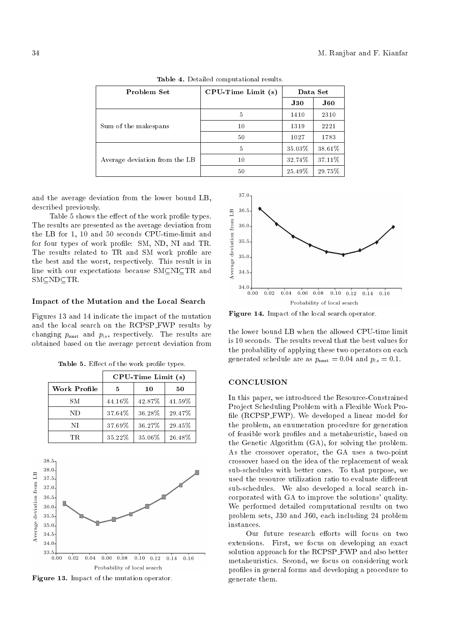| Problem Set                   | $CPU-Time Limit(s)$ | Data Set |             |
|-------------------------------|---------------------|----------|-------------|
|                               |                     | J30      | ${\bf J60}$ |
|                               | 5                   | 1410     | 2310        |
| Sum of the makespans          | 10                  | 1319     | 2221        |
|                               | 50                  | 1027     | 1783        |
|                               | 5                   | 35.03%   | 38.61%      |
| Average deviation from the LB | 10                  | 32.74%   | 37.11%      |
|                               | 50                  | 25.49%   | 29.75%      |

Table 4. Detailed computational results.

and the average deviation from the lower bound LB, described previously.

Table 5 shows the effect of the work profile types. The results are presented as the average deviation from the LB for 1, 10 and 50 seconds CPU-time-limit and for four types of work profile: SM, ND, NI and TR. The results related to TR and SM work profile are the best and the worst, respectively. This result is in line with our expectations because  $SMCNICTR$  and  $SM\subseteq ND\subseteq TR$ .

#### Impact of the Mutation and the Local Search

Figures 13 and 14 indicate the impact of the mutation and the local search on the RCPSP FWP results by changing  $p_{\text{mut}}$  and  $p_{ls}$ , respectively. The results are obtained based on the average percent deviation from

|              | CPU-Time Limit (s) |        |        |
|--------------|--------------------|--------|--------|
| Work Profile | 5                  | 10     | 50     |
| SМ           | 44.16%             | 42.87% | 41.59% |
| ND           | 37.64%             | 36.28% | 29.47% |
| NI           | 37.69%             | 36.27% | 29.45% |
| 'FR          | 35.22%             | 35.06% | 26.48% |

Table 5. Effect of the work profile types.



Figure 13. Impact of the mutation operator.



Figure 14. Impact of the local search operator.

the lower bound LB when the allowed CPU-time limit is 10 seconds. The results reveal that the best values for the probability of applying these two operators on each generated schedule are as  $p_{\text{mut}} = 0.04$  and  $p_{ls} = 0.1$ .

## **CONCLUSION**

In this paper, we introduced the Resource-Constrained Project Scheduling Problem with a Flexible Work Pro file (RCPSP\_FWP). We developed a linear model for the problem, an enumeration procedure for generation of feasible work profiles and a metaheuristic, based on the Genetic Algorithm (GA), for solving the problem. As the crossover operator, the GA uses a two-point crossover based on the idea of the replacement of weak sub-schedules with better ones. To that purpose, we used the resource utilization ratio to evaluate different sub-schedules. We also developed a local search incorporated with GA to improve the solutions' quality. We performed detailed computational results on two problem sets, J30 and J60, each including 24 problem instances.

Our future research efforts will focus on two extensions. First, we focus on developing an exact solution approach for the RCPSP FWP and also better metaheuristics. Second, we focus on considering work profiles in general forms and developing a procedure to generate them.